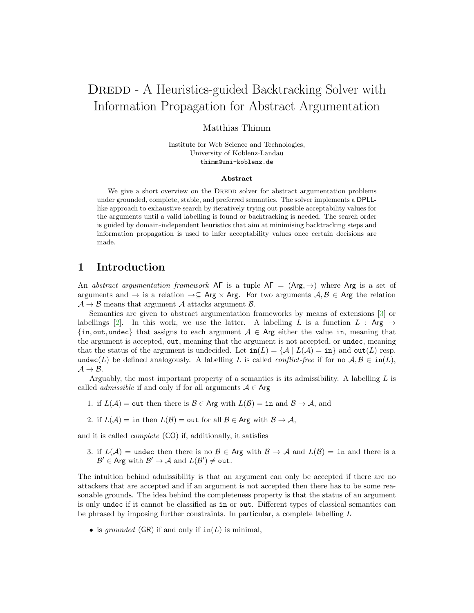# DREDD - A Heuristics-guided Backtracking Solver with Information Propagation for Abstract Argumentation

Matthias Thimm

Institute for Web Science and Technologies, University of Koblenz-Landau thimm@uni-koblenz.de

#### Abstract

We give a short overview on the DREDD solver for abstract argumentation problems under grounded, complete, stable, and preferred semantics. The solver implements a DPLLlike approach to exhaustive search by iteratively trying out possible acceptability values for the arguments until a valid labelling is found or backtracking is needed. The search order is guided by domain-independent heuristics that aim at minimising backtracking steps and information propagation is used to infer acceptability values once certain decisions are made.

# 1 Introduction

An abstract argumentation framework AF is a tuple  $AF = (Arg, \rightarrow)$  where Arg is a set of arguments and  $\rightarrow$  is a relation  $\rightarrow \subseteq$  Arg  $\times$  Arg. For two arguments  $A, B \in$  Arg the relation  $\mathcal{A} \rightarrow \mathcal{B}$  means that argument  $\mathcal{A}$  attacks argument  $\mathcal{B}$ .

Semantics are given to abstract argumentation frameworks by means of extensions [\[3\]](#page-3-0) or labellings [\[2\]](#page-3-1). In this work, we use the latter. A labelling L is a function L : Arg  $\rightarrow$  $\{in, out, under\}$  that assigns to each argument  $A \in \mathsf{Arg}$  either the value in, meaning that the argument is accepted, out, meaning that the argument is not accepted, or undec, meaning that the status of the argument is undecided. Let  $\text{in}(L) = \{A \mid L(A) = \text{in}\}\$  and  $\text{out}(L)$  resp. undec(L) be defined analogously. A labelling L is called *conflict-free* if for no  $A, B \in \text{in}(L)$ ,  $A \rightarrow B$ .

Arguably, the most important property of a semantics is its admissibility. A labelling  $L$  is called *admissible* if and only if for all arguments  $A \in \mathsf{Arg}$ 

- 1. if  $L(\mathcal{A}) = \text{out}$  then there is  $\mathcal{B} \in \text{Arg with } L(\mathcal{B}) = \text{in}$  and  $\mathcal{B} \to \mathcal{A}$ , and
- 2. if  $L(\mathcal{A}) = \text{in then } L(\mathcal{B}) = \text{out}$  for all  $\mathcal{B} \in \text{Arg with } \mathcal{B} \to \mathcal{A}$ ,

and it is called complete (CO) if, additionally, it satisfies

3. if  $L(\mathcal{A}) =$  undec then there is no  $\mathcal{B} \in \mathsf{Arg}$  with  $\mathcal{B} \to \mathcal{A}$  and  $L(\mathcal{B}) =$  in and there is a  $\mathcal{B}' \in \mathsf{Arg}$  with  $\mathcal{B}' \to \mathcal{A}$  and  $L(\mathcal{B}') \neq \mathtt{out}$ .

The intuition behind admissibility is that an argument can only be accepted if there are no attackers that are accepted and if an argument is not accepted then there has to be some reasonable grounds. The idea behind the completeness property is that the status of an argument is only undec if it cannot be classified as in or out. Different types of classical semantics can be phrased by imposing further constraints. In particular, a complete labelling L

• is grounded  $(GR)$  if and only if  $in(L)$  is minimal,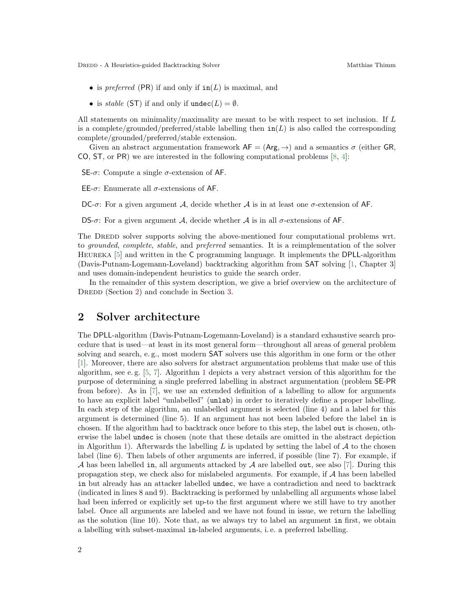DREDD - A Heuristics-guided Backtracking Solver Matthias Thimm

- is preferred (PR) if and only if  $in(L)$  is maximal, and
- is stable (ST) if and only if  $\text{undec}(L) = \emptyset$ .

All statements on minimality/maximality are meant to be with respect to set inclusion. If L is a complete/grounded/preferred/stable labelling then  $\text{in}(L)$  is also called the corresponding complete/grounded/preferred/stable extension.

Given an abstract argumentation framework  $AF = (Arg, \rightarrow)$  and a semantics  $\sigma$  (either GR, CO, ST, or PR) we are interested in the following computational problems  $[8, 4]$  $[8, 4]$  $[8, 4]$ :

SE- $\sigma$ : Compute a single  $\sigma$ -extension of AF.

EE-σ: Enumerate all σ-extensions of AF.

DC- $\sigma$ : For a given argument A, decide whether A is in at least one  $\sigma$ -extension of AF.

DS- $\sigma$ : For a given argument A, decide whether A is in all  $\sigma$ -extensions of AF.

The DREDD solver supports solving the above-mentioned four computational problems wrt. to grounded, complete, stable, and preferred semantics. It is a reimplementation of the solver Heureka [\[5\]](#page-3-4) and written in the C programming language. It implements the DPLL-algorithm (Davis-Putnam-Logemann-Loveland) backtracking algorithm from SAT solving [\[1,](#page-3-5) Chapter 3] and uses domain-independent heuristics to guide the search order.

In the remainder of this system description, we give a brief overview on the architecture of DREDD (Section [2\)](#page-1-0) and conclude in Section [3.](#page-3-6)

### <span id="page-1-0"></span>2 Solver architecture

The DPLL-algorithm (Davis-Putnam-Logemann-Loveland) is a standard exhaustive search procedure that is used—at least in its most general form—throughout all areas of general problem solving and search, e. g., most modern SAT solvers use this algorithm in one form or the other [\[1\]](#page-3-5). Moreover, there are also solvers for abstract argumentation problems that make use of this algorithm, see e. g. [\[5,](#page-3-4) [7\]](#page-3-7). Algorithm [1](#page-2-0) depicts a very abstract version of this algorithm for the purpose of determining a single preferred labelling in abstract argumentation (problem SE-PR from before). As in [\[7\]](#page-3-7), we use an extended definition of a labelling to allow for arguments to have an explicit label "unlabelled" (unlab) in order to iteratively define a proper labelling. In each step of the algorithm, an unlabelled argument is selected (line 4) and a label for this argument is determined (line 5). If an argument has not been labeled before the label in is chosen. If the algorithm had to backtrack once before to this step, the label out is chosen, otherwise the label undec is chosen (note that these details are omitted in the abstract depiction in Algorithm [1\)](#page-2-0). Afterwards the labelling L is updated by setting the label of  $A$  to the chosen label (line 6). Then labels of other arguments are inferred, if possible (line 7). For example, if A has been labelled in, all arguments attacked by A are labelled out, see also [\[7\]](#page-3-7). During this propagation step, we check also for mislabeled arguments. For example, if A has been labelled in but already has an attacker labelled undec, we have a contradiction and need to backtrack (indicated in lines 8 and 9). Backtracking is performed by unlabelling all arguments whose label had been inferred or explicitly set up-to the first argument where we still have to try another label. Once all arguments are labeled and we have not found in issue, we return the labelling as the solution (line 10). Note that, as we always try to label an argument in first, we obtain a labelling with subset-maximal in-labeled arguments, i. e. a preferred labelling.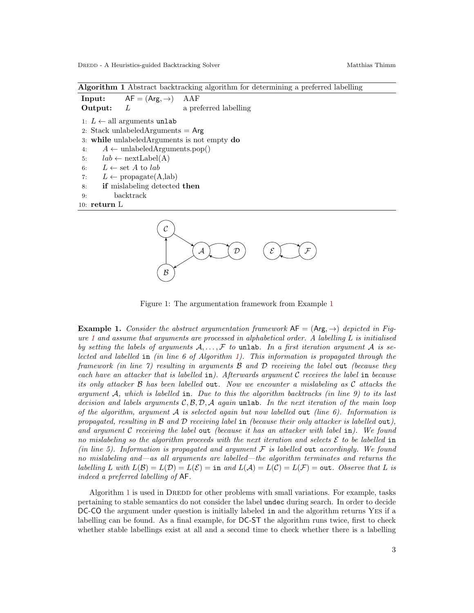B

Algorithm 1 Abstract backtracking algorithm for determining a preferred labelling

<span id="page-2-0"></span>**Input:**  $AF = (Arg, \rightarrow)$  AAF **Output:** L a preferred labelling 1:  $L \leftarrow$  all arguments unlab 2: Stack unlabeled $Arg$ uments  $=$  Arg 3: while unlabeledArguments is not empty do 4:  $A \leftarrow \text{unlabeledArguments.pop}()$ 5:  $lab \leftarrow \text{nextLabel}(A)$ 6:  $L \leftarrow$  set A to lab 7:  $L \leftarrow \text{propagate}(A, lab)$ 8: if mislabeling detected then 9: backtrack 10: return L  $\mathcal A$  $\mathcal{C}_{0}^{0}$  $\mathcal{D}$  )  $(\mathcal{E}$  )  $(\mathcal{F}$ 



<span id="page-2-2"></span><span id="page-2-1"></span>**Example 1.** Consider the abstract argumentation framework  $AF = (Arg, \rightarrow)$  depicted in Fig-ure [1](#page-2-2) and assume that arguments are processed in alphabetical order. A labelling  $L$  is initialised by setting the labels of arguments  $A, \ldots, \mathcal{F}$  to unlab. In a first iteration argument A is selected and labelled in (in line  $6$  of Algorithm [1\)](#page-2-0). This information is propagated through the framework (in line 7) resulting in arguments  $\beta$  and  $\beta$  receiving the label out (because they each have an attacker that is labelled in). Afterwards argument  $C$  receives the label in because its only attacker  $\beta$  has been labelled out. Now we encounter a mislabeling as  $\mathcal C$  attacks the argument  $\mathcal{A}$ , which is labelled in. Due to this the algorithm backtracks (in line 9) to its last decision and labels arguments  $C, B, D, A$  again unlab. In the next iteration of the main loop of the algorithm, argument  $A$  is selected again but now labelled out (line 6). Information is propagated, resulting in  $\beta$  and  $\beta$  receiving label in (because their only attacker is labelled out), and argument  $C$  receiving the label out (because it has an attacker with label in). We found no mislabeling so the algorithm proceeds with the next iteration and selects  $\mathcal E$  to be labelled in (in line 5). Information is propagated and argument  $\mathcal F$  is labelled out accordingly. We found no mislabeling and—as all arguments are labelled—the algorithm terminates and returns the labelling L with  $L(\mathcal{B}) = L(\mathcal{D}) = L(\mathcal{E}) = \text{in}$  and  $L(\mathcal{A}) = L(\mathcal{C}) = L(\mathcal{F}) = \text{out}$ . Observe that L is indeed a preferred labelling of AF.

Algorithm [1](#page-2-0) is used in DREDD for other problems with small variations. For example, tasks pertaining to stable semantics do not consider the label undec during search. In order to decide DC-CO the argument under question is initially labeled in and the algorithm returns YES if a labelling can be found. As a final example, for DC-ST the algorithm runs twice, first to check whether stable labellings exist at all and a second time to check whether there is a labelling